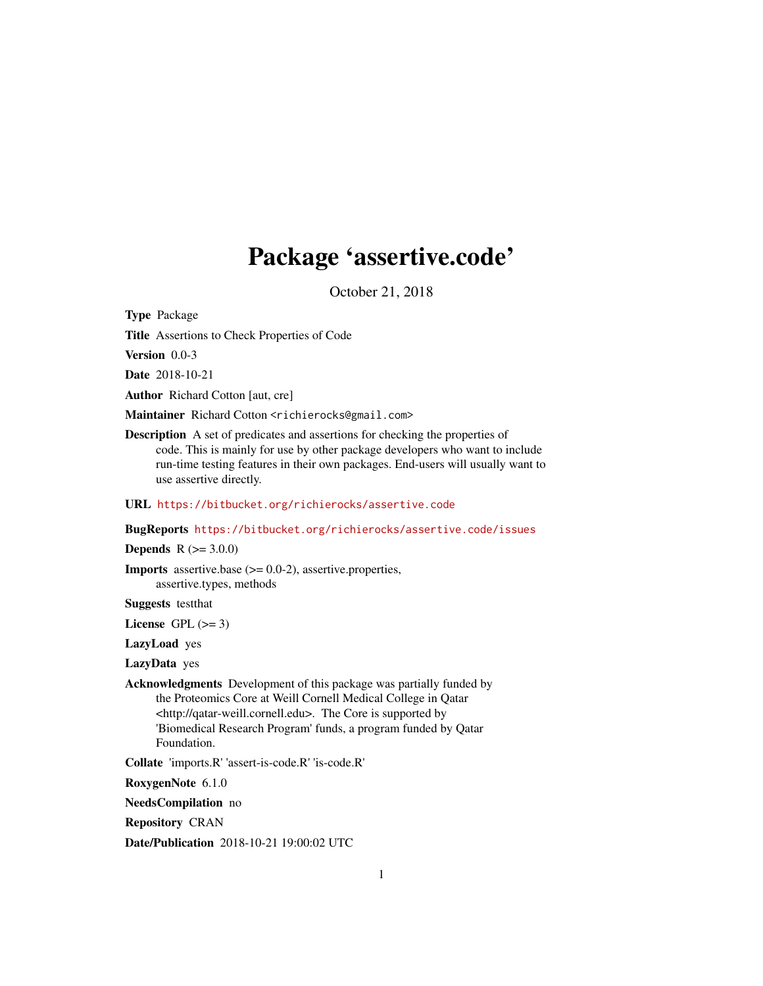# Package 'assertive.code'

October 21, 2018

<span id="page-0-0"></span>Type Package

Title Assertions to Check Properties of Code

Version 0.0-3

Date 2018-10-21

Author Richard Cotton [aut, cre]

Maintainer Richard Cotton <richierocks@gmail.com>

Description A set of predicates and assertions for checking the properties of code. This is mainly for use by other package developers who want to include run-time testing features in their own packages. End-users will usually want to use assertive directly.

URL <https://bitbucket.org/richierocks/assertive.code>

BugReports <https://bitbucket.org/richierocks/assertive.code/issues>

**Depends**  $R (= 3.0.0)$ 

**Imports** assertive.base  $(>= 0.0-2)$ , assertive.properties, assertive.types, methods

Suggests testthat

License GPL  $(>= 3)$ 

LazyLoad yes

LazyData yes

Acknowledgments Development of this package was partially funded by the Proteomics Core at Weill Cornell Medical College in Qatar <http://qatar-weill.cornell.edu>. The Core is supported by 'Biomedical Research Program' funds, a program funded by Qatar Foundation.

Collate 'imports.R' 'assert-is-code.R' 'is-code.R'

RoxygenNote 6.1.0

NeedsCompilation no

Repository CRAN

Date/Publication 2018-10-21 19:00:02 UTC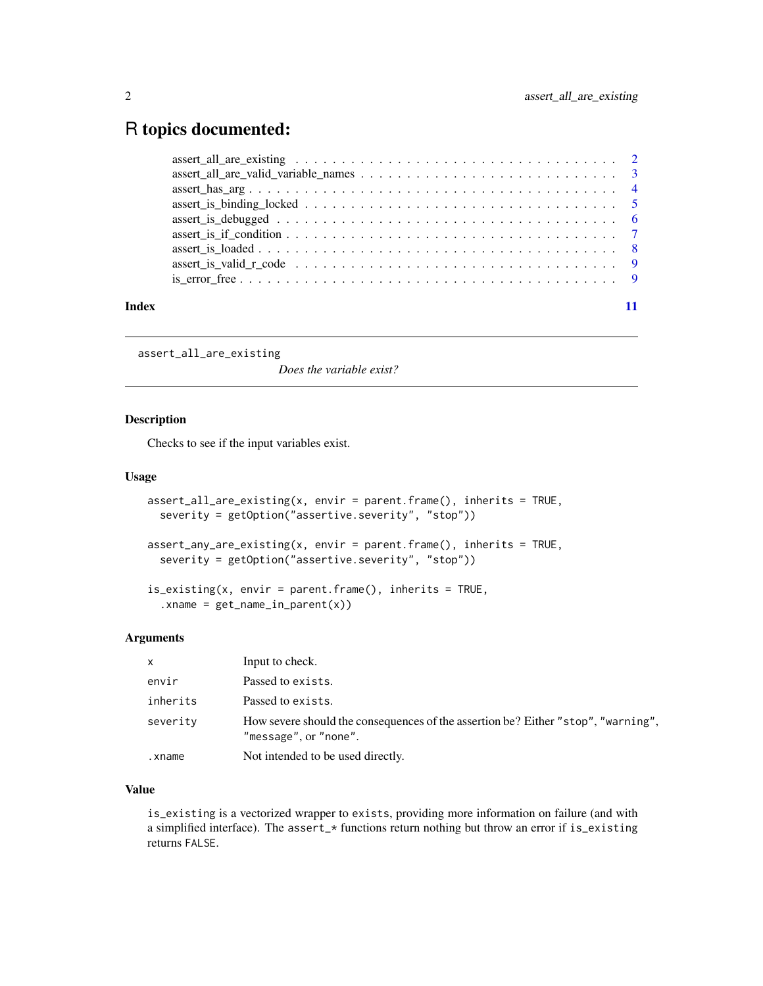# <span id="page-1-0"></span>R topics documented:

| Index |  |
|-------|--|

assert\_all\_are\_existing

*Does the variable exist?*

#### Description

Checks to see if the input variables exist.

#### Usage

```
assert_all_are_existing(x, envir = parent.frame(), inherits = TRUE,
 severity = getOption("assertive.severity", "stop"))
```

```
assert_any_are_existing(x, envir = parent.frame(), inherits = TRUE,
 severity = getOption("assertive.severity", "stop"))
```

```
is_existing(x, envir = parent.frame(), inherits = TRUE,
  xname = get_name_in_parent(x))
```
#### Arguments

| x        | Input to check.                                                                                            |
|----------|------------------------------------------------------------------------------------------------------------|
| envir    | Passed to exists.                                                                                          |
| inherits | Passed to exists.                                                                                          |
| severity | How severe should the consequences of the assertion be? Either "stop", "warning",<br>"message", or "none". |
| .xname   | Not intended to be used directly.                                                                          |

# Value

is\_existing is a vectorized wrapper to exists, providing more information on failure (and with a simplified interface). The assert\_\* functions return nothing but throw an error if is\_existing returns FALSE.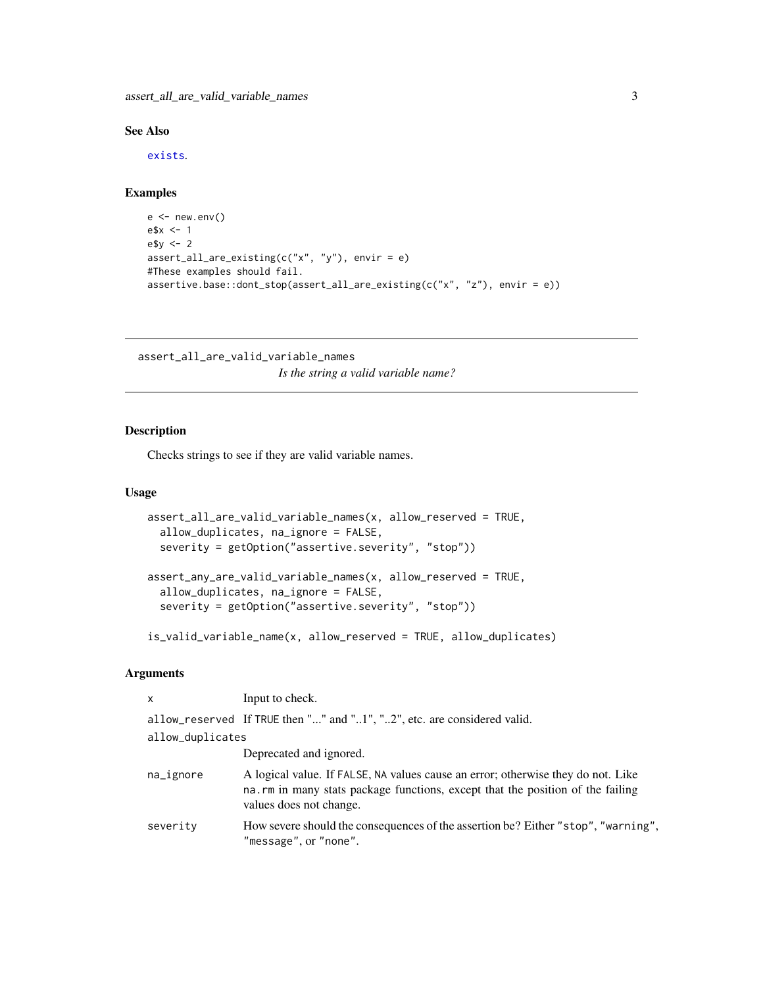<span id="page-2-0"></span>assert\_all\_are\_valid\_variable\_names 3

# See Also

[exists](#page-0-0).

# Examples

```
e < - new.env()
e$x <- 1
e$y <- 2
assert_all_are_existing(c("x", "y"), envir = e)
#These examples should fail.
assertive.base::dont_stop(assert_all_are_existing(c("x", "z"), envir = e))
```
assert\_all\_are\_valid\_variable\_names *Is the string a valid variable name?*

# Description

Checks strings to see if they are valid variable names.

#### Usage

```
assert_all_are_valid_variable_names(x, allow_reserved = TRUE,
  allow_duplicates, na_ignore = FALSE,
  severity = getOption("assertive.severity", "stop"))
assert_any_are_valid_variable_names(x, allow_reserved = TRUE,
  allow_duplicates, na_ignore = FALSE,
  severity = getOption("assertive.severity", "stop"))
```
is\_valid\_variable\_name(x, allow\_reserved = TRUE, allow\_duplicates)

| $\mathsf{x}$     | Input to check.                                                                                                                                                                                |
|------------------|------------------------------------------------------------------------------------------------------------------------------------------------------------------------------------------------|
|                  | allow_reserved If TRUE then "" and "1", "2", etc. are considered valid.                                                                                                                        |
| allow_duplicates |                                                                                                                                                                                                |
|                  | Deprecated and ignored.                                                                                                                                                                        |
| na_ignore        | A logical value. If FALSE, NA values cause an error; otherwise they do not. Like<br>na. rm in many stats package functions, except that the position of the failing<br>values does not change. |
| severity         | How severe should the consequences of the assertion be? Either "stop", "warning",<br>"message", or "none".                                                                                     |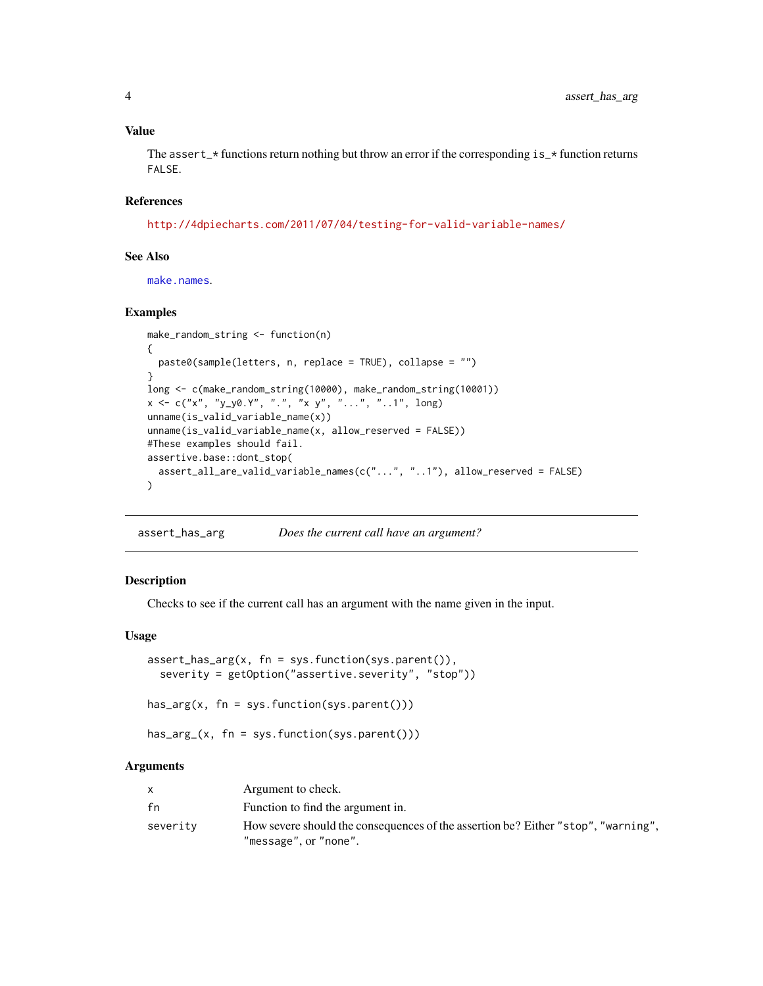<span id="page-3-0"></span>The assert\_ $\star$  functions return nothing but throw an error if the corresponding is\_ $\star$  function returns FALSE.

# References

<http://4dpiecharts.com/2011/07/04/testing-for-valid-variable-names/>

#### See Also

[make.names](#page-0-0).

#### Examples

```
make_random_string <- function(n)
{
  paste0(sample(letters, n, replace = TRUE), collapse = "")
}
long <- c(make_random_string(10000), make_random_string(10001))
x \leq c("x", "y_y0.Y", "."," x y", "...", "...", "...]unname(is_valid_variable_name(x))
unname(is_valid_variable_name(x, allow_reserved = FALSE))
#These examples should fail.
assertive.base::dont_stop(
  assert_all_are_valid_variable_names(c("...", "..1"), allow_reserved = FALSE)
\mathcal{L}
```
assert\_has\_arg *Does the current call have an argument?*

#### Description

Checks to see if the current call has an argument with the name given in the input.

### Usage

```
assert\_has\_arg(x, fn = sys.function(sys.parent()),
  severity = getOption("assertive.severity", "stop"))
```
has\_arg(x, fn = sys.function(sys.parent()))

has\_arg\_(x, fn = sys.function(sys.parent()))

|          | Argument to check.                                                                                         |
|----------|------------------------------------------------------------------------------------------------------------|
| fn       | Function to find the argument in.                                                                          |
| severity | How severe should the consequences of the assertion be? Either "stop", "warning",<br>"message", or "none". |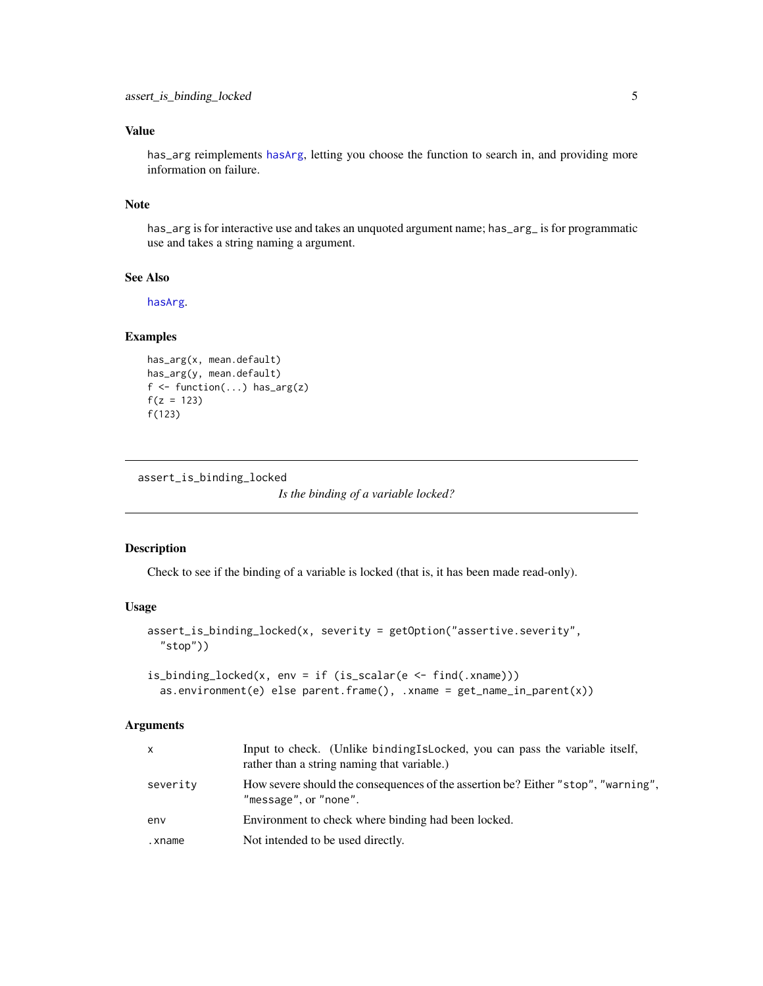<span id="page-4-0"></span>has\_arg reimplements [hasArg](#page-0-0), letting you choose the function to search in, and providing more information on failure.

### Note

has\_arg is for interactive use and takes an unquoted argument name; has\_arg\_ is for programmatic use and takes a string naming a argument.

#### See Also

[hasArg](#page-0-0).

# Examples

```
has_arg(x, mean.default)
has_arg(y, mean.default)
f \leftarrow function(...) has_arg(z)
f(z = 123)f(123)
```
assert\_is\_binding\_locked

*Is the binding of a variable locked?*

#### Description

Check to see if the binding of a variable is locked (that is, it has been made read-only).

#### Usage

```
assert_is_binding_locked(x, severity = getOption("assertive.severity",
  "stop"))
```

```
is_binding_locked(x, env = if (is_scalar(e <- find(.xname)))
  as.environment(e) else parent.frame(), .xname = get_name_in_parent(x))
```

| X        | Input to check. (Unlike binding Islocked, you can pass the variable itself,<br>rather than a string naming that variable.) |
|----------|----------------------------------------------------------------------------------------------------------------------------|
| severity | How severe should the consequences of the assertion be? Either "stop", "warning",<br>"message", or "none".                 |
| env      | Environment to check where binding had been locked.                                                                        |
| .xname   | Not intended to be used directly.                                                                                          |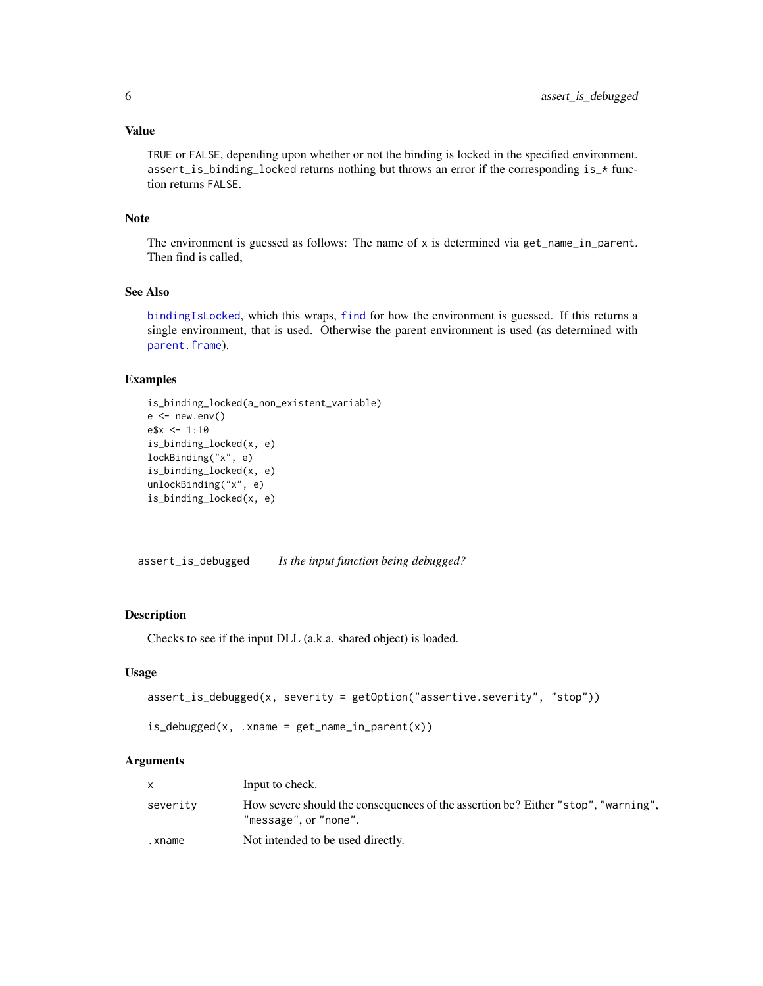<span id="page-5-0"></span>TRUE or FALSE, depending upon whether or not the binding is locked in the specified environment. assert\_is\_binding\_locked returns nothing but throws an error if the corresponding is\_\* function returns FALSE.

# Note

The environment is guessed as follows: The name of  $x$  is determined via get\_name\_in\_parent. Then find is called,

## See Also

[bindingIsLocked](#page-0-0), which this wraps, [find](#page-0-0) for how the environment is guessed. If this returns a single environment, that is used. Otherwise the parent environment is used (as determined with [parent.frame](#page-0-0)).

# Examples

```
is_binding_locked(a_non_existent_variable)
e < - new.env()
e$x <- 1:10
is_binding_locked(x, e)
lockBinding("x", e)
is_binding_locked(x, e)
unlockBinding("x", e)
is_binding_locked(x, e)
```
assert\_is\_debugged *Is the input function being debugged?*

# Description

Checks to see if the input DLL (a.k.a. shared object) is loaded.

#### Usage

```
assert_is_debugged(x, severity = getOption("assertive.severity", "stop"))
```

```
isdebugged(x, .xname = get_name_in\_parent(x))
```

|          | Input to check.                                                                                            |
|----------|------------------------------------------------------------------------------------------------------------|
| severity | How severe should the consequences of the assertion be? Either "stop", "warning",<br>"message", or "none". |
| .xname   | Not intended to be used directly.                                                                          |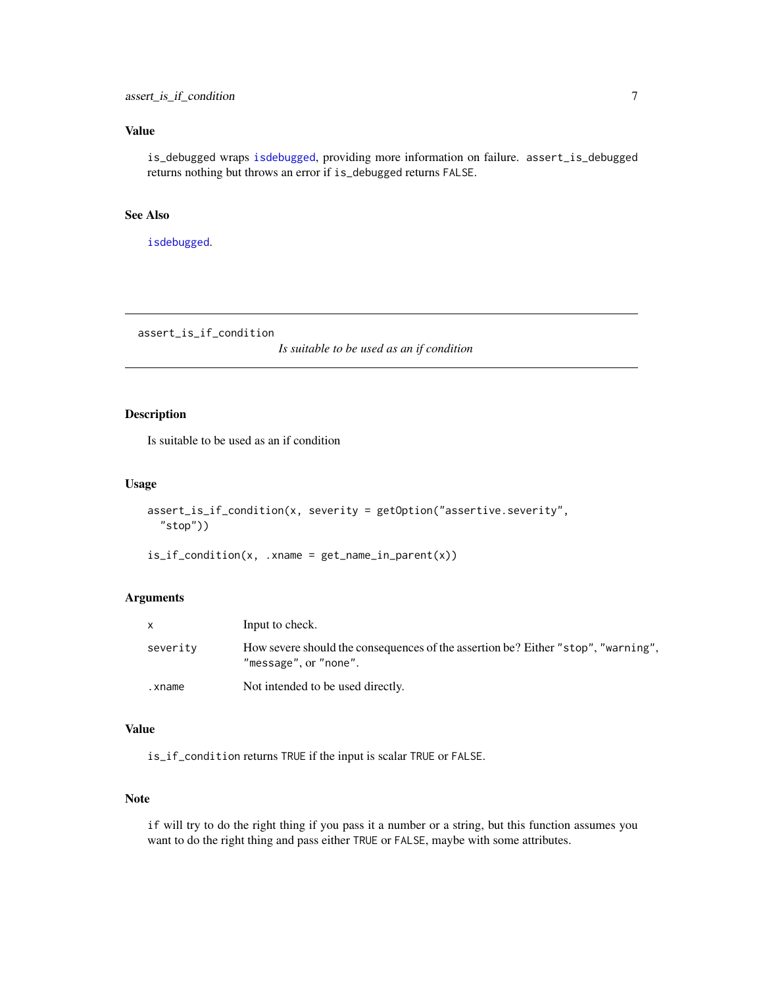<span id="page-6-0"></span>is\_debugged wraps [isdebugged](#page-0-0), providing more information on failure. assert\_is\_debugged returns nothing but throws an error if is\_debugged returns FALSE.

# See Also

[isdebugged](#page-0-0).

assert\_is\_if\_condition

*Is suitable to be used as an if condition*

# Description

Is suitable to be used as an if condition

#### Usage

```
assert_is_if_condition(x, severity = getOption("assertive.severity",
  "stop"))
```
is\_if\_condition(x, .xname = get\_name\_in\_parent(x))

#### Arguments

|          | Input to check.                                                                                            |
|----------|------------------------------------------------------------------------------------------------------------|
| severity | How severe should the consequences of the assertion be? Either "stop", "warning",<br>"message", or "none". |
| .xname   | Not intended to be used directly.                                                                          |

#### Value

is\_if\_condition returns TRUE if the input is scalar TRUE or FALSE.

#### Note

if will try to do the right thing if you pass it a number or a string, but this function assumes you want to do the right thing and pass either TRUE or FALSE, maybe with some attributes.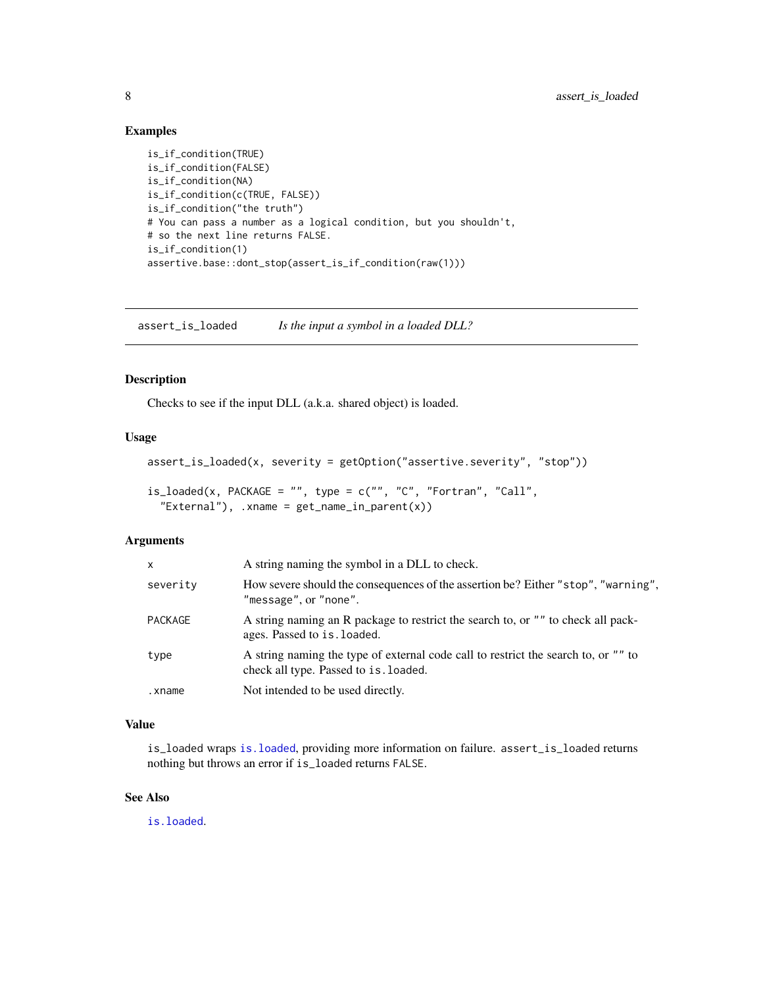### Examples

```
is_if_condition(TRUE)
is_if_condition(FALSE)
is_if_condition(NA)
is_if_condition(c(TRUE, FALSE))
is_if_condition("the truth")
# You can pass a number as a logical condition, but you shouldn't,
# so the next line returns FALSE.
is_if_condition(1)
assertive.base::dont_stop(assert_is_if_condition(raw(1)))
```
assert\_is\_loaded *Is the input a symbol in a loaded DLL?*

# Description

Checks to see if the input DLL (a.k.a. shared object) is loaded.

# Usage

```
assert_is_loaded(x, severity = getOption("assertive.severity", "stop"))
```

```
is\_loaded(x, PACKAGE = "", type = c("", "C", "Fortran", "Call","External"), .xname = get_name_in_parent(x))
```
# Arguments

| How severe should the consequences of the assertion be? Either "stop", "warning",<br>severity<br>"message", or "none".               |  |
|--------------------------------------------------------------------------------------------------------------------------------------|--|
| A string naming an R package to restrict the search to, or "" to check all pack-<br><b>PACKAGE</b><br>ages. Passed to is . loaded.   |  |
| A string naming the type of external code call to restrict the search to, or "" to<br>type<br>check all type. Passed to is . loaded. |  |
| Not intended to be used directly.<br>.xname                                                                                          |  |

# Value

is\_loaded wraps [is.loaded](#page-0-0), providing more information on failure. assert\_is\_loaded returns nothing but throws an error if is\_loaded returns FALSE.

# See Also

[is.loaded](#page-0-0).

<span id="page-7-0"></span>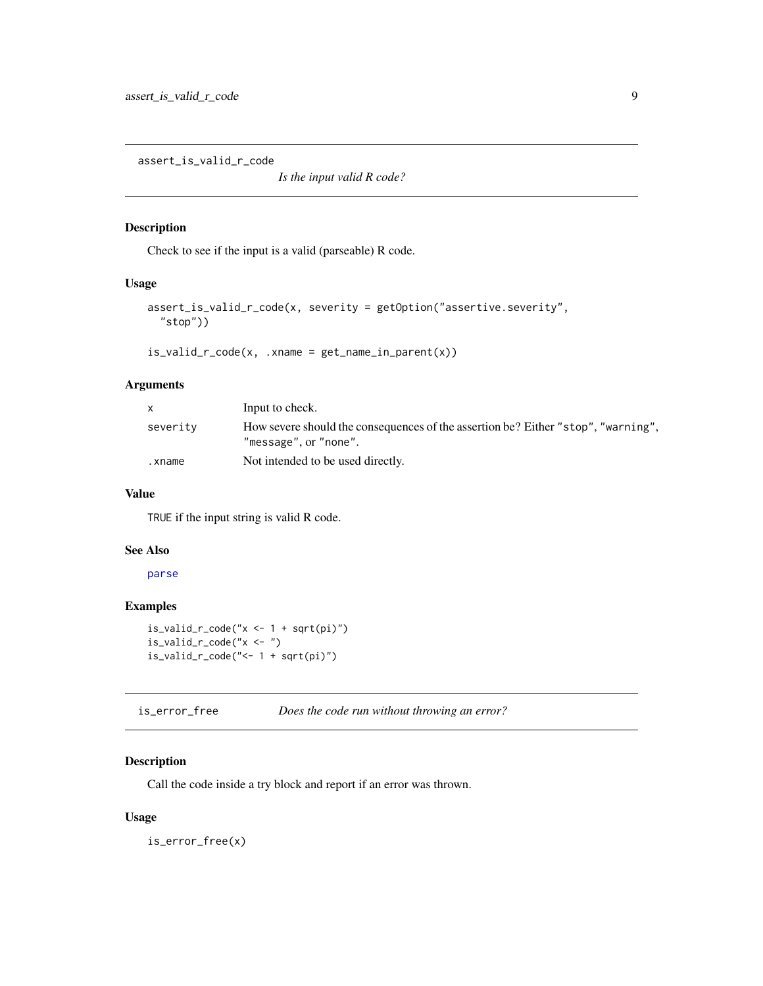<span id="page-8-0"></span>assert\_is\_valid\_r\_code

*Is the input valid R code?*

# Description

Check to see if the input is a valid (parseable) R code.

# Usage

```
assert_is_valid_r_code(x, severity = getOption("assertive.severity",
  "stop"))
```

```
is\_valid\_r\_code(x, .xname = get\_name_in\_parent(x))
```
# Arguments

| X        | Input to check.                                                                                            |
|----------|------------------------------------------------------------------------------------------------------------|
| severity | How severe should the consequences of the assertion be? Either "stop", "warning",<br>"message", or "none". |
| .xname   | Not intended to be used directly.                                                                          |

#### Value

TRUE if the input string is valid R code.

# See Also

[parse](#page-0-0)

# Examples

```
is\_valid\_r\_code("x <- 1 + sqrt(pi)")is_valid_r_code("x <- ")
is_valid_r_code("<- 1 + sqrt(pi)")
```
is\_error\_free *Does the code run without throwing an error?*

# Description

Call the code inside a try block and report if an error was thrown.

# Usage

is\_error\_free(x)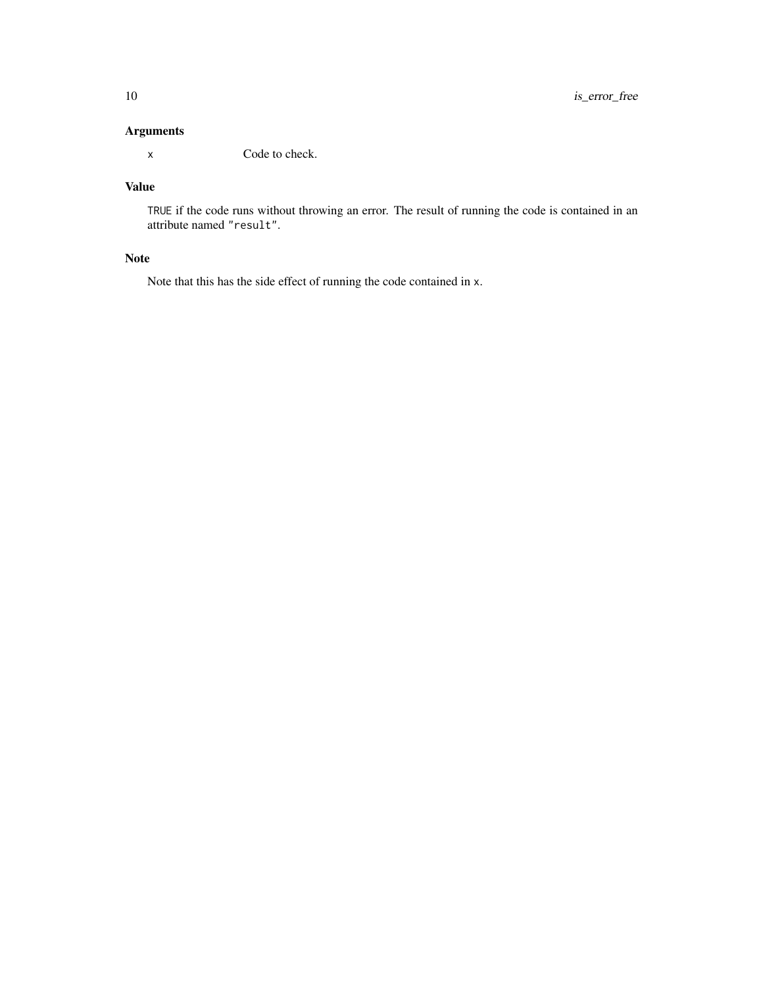# Arguments

x Code to check.

# Value

TRUE if the code runs without throwing an error. The result of running the code is contained in an attribute named "result".

# Note

Note that this has the side effect of running the code contained in x.